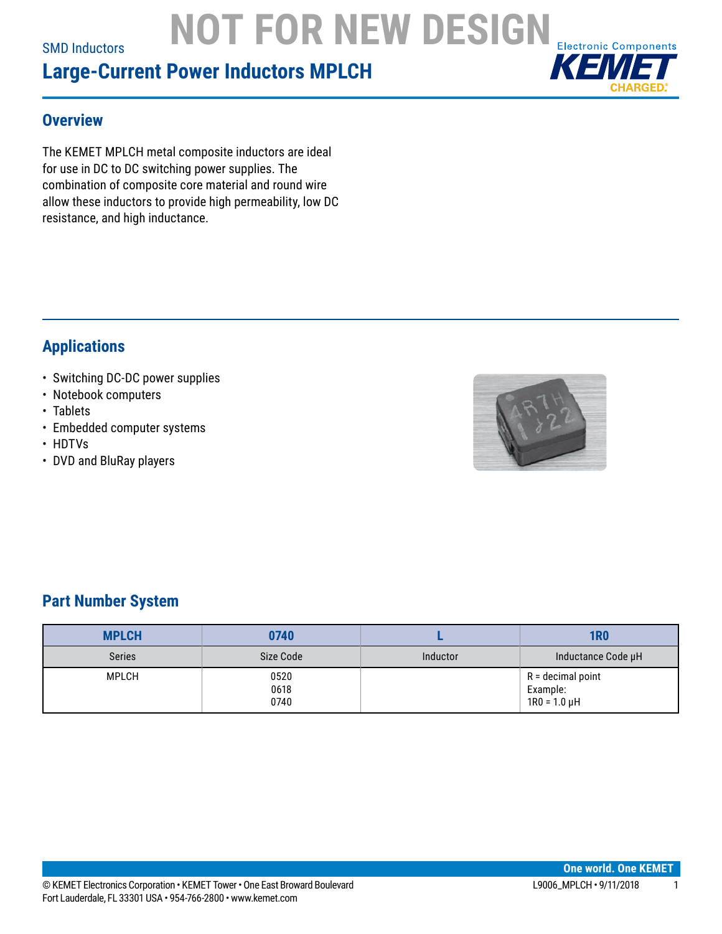#### SMD Inductors

## **Large-Current Power Inductors MPLCH**



### **Overview**

The KEMET MPLCH metal composite inductors are ideal for use in DC to DC switching power supplies. The combination of composite core material and round wire allow these inductors to provide high permeability, low DC resistance, and high inductance.

## **Applications**

- Switching DC-DC power supplies
- Notebook computers
- Tablets
- Embedded computer systems
- HDTVs
- DVD and BluRay players



## **Part Number System**

| <b>MPLCH</b>  | 0740                 |          | <b>1R0</b>                                           |
|---------------|----------------------|----------|------------------------------------------------------|
| <b>Series</b> | Size Code            | Inductor | Inductance Code µH                                   |
| MPLCH         | 0520<br>0618<br>0740 |          | $R =$ decimal point<br>Example:<br>$1R0 = 1.0 \mu H$ |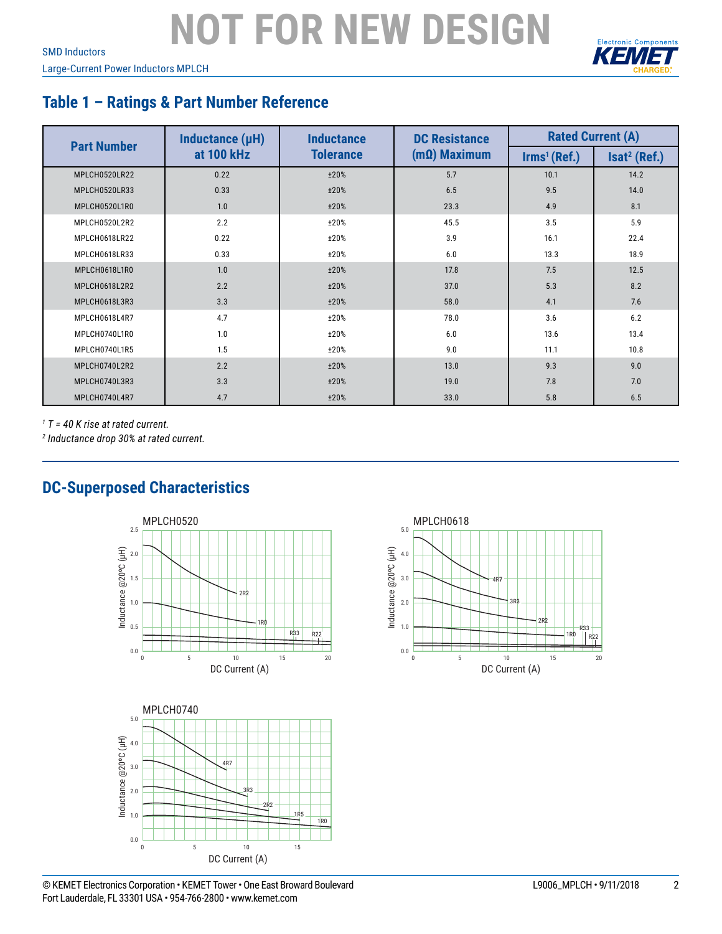

SMD Inductors Large-Current Power Inductors MPLCH

## **Table 1 – Ratings & Part Number Reference**

| <b>Part Number</b> | Inductance (µH)                | <b>Inductance</b> | <b>DC Resistance</b> | <b>Rated Current (A)</b>         |                          |  |
|--------------------|--------------------------------|-------------------|----------------------|----------------------------------|--------------------------|--|
|                    | at 100 kHz<br><b>Tolerance</b> |                   | $(mΩ)$ Maximum       | $\mathsf{lrms}^1(\mathsf{Ref.})$ | Isat <sup>2</sup> (Ref.) |  |
| MPLCH0520LR22      | 0.22                           | ±20%              | 5.7                  | 10.1                             | 14.2                     |  |
| MPLCH0520LR33      | 0.33                           | ±20%              | 6.5                  | 9.5                              | 14.0                     |  |
| MPLCH0520L1R0      | 1.0                            | ±20%              | 23.3                 | 4.9                              | 8.1                      |  |
| MPLCH0520L2R2      | 2.2                            | ±20%              | 45.5                 | 3.5                              | 5.9                      |  |
| MPLCH0618LR22      | 0.22                           | ±20%              | 3.9                  | 16.1                             | 22.4                     |  |
| MPLCH0618LR33      | 0.33                           | ±20%              | 6.0                  | 13.3                             | 18.9                     |  |
| MPLCH0618L1R0      | 1.0                            | ±20%              | 17.8                 | 7.5                              | 12.5                     |  |
| MPLCH0618L2R2      | 2.2                            | ±20%              | 37.0                 | 5.3                              | 8.2                      |  |
| MPLCH0618L3R3      | 3.3                            | ±20%              | 58.0                 | 4.1                              | 7.6                      |  |
| MPLCH0618L4R7      | 4.7                            | ±20%              | 78.0                 | 3.6                              | 6.2                      |  |
| MPLCH0740L1R0      | 1.0                            | ±20%              | 6.0                  | 13.6                             | 13.4                     |  |
| MPLCH0740L1R5      | 1.5                            | ±20%              | 9.0                  | 11.1                             | 10.8                     |  |
| MPLCH0740L2R2      | 2.2                            | ±20%              | 13.0                 | 9.3                              | 9.0                      |  |
| MPLCH0740L3R3      | 3.3                            | ±20%              | 19.0                 | 7.8                              | 7.0                      |  |
| MPLCH0740L4R7      | 4.7                            | ±20%              | 33.0                 | 5.8                              | 6.5                      |  |

*1 T = 40 K rise at rated current.*

*2 Inductance drop 30% at rated current.*

## **DC-Superposed Characteristics**







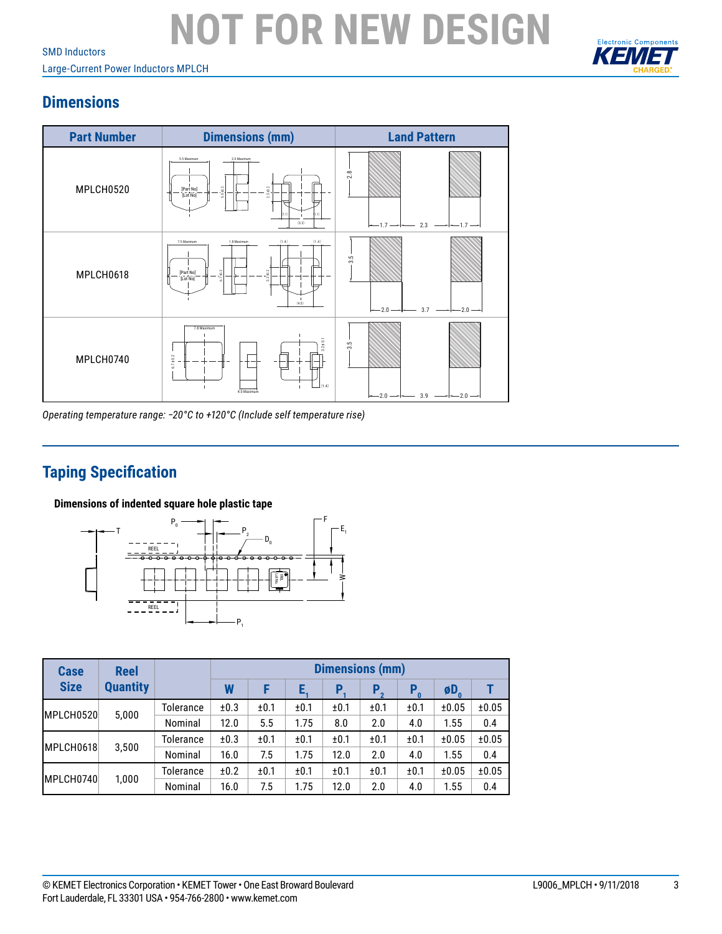#### 2.3 1.7 1.7 3.7 2.0 2.0 1.7 1.7 3.7 2.0 2.0 **MPLCH0740 NOT FOR NEW DESIGN**



Large-Current Power Inductors MPLCH

## **Dimensions**

SMD Inductors



3.9 2.0 2.0 *Operating temperature range: −20°C to +120°C (Include self temperature rise)*

## **Taping Specification**

#### **Dimensions of indented square hole plastic tape**



| <b>Case</b>        | <b>Reel</b>     |           | <b>Dimensions (mm)</b> |      |      |      |      |      |                                  |       |
|--------------------|-----------------|-----------|------------------------|------|------|------|------|------|----------------------------------|-------|
| <b>Size</b>        | <b>Quantity</b> |           | W                      | Е    |      | P    | P    | P    | $\boldsymbol{\phi}$ <sub>D</sub> |       |
| MPLCH0520<br>5,000 |                 | Tolerance | ±0.3                   | ±0.1 | ±0.1 | ±0.1 | ±0.1 | ±0.1 | ±0.05                            | ±0.05 |
|                    |                 | Nominal   | 12.0                   | 5.5  | 1.75 | 8.0  | 2.0  | 4.0  | 1.55                             | 0.4   |
| MPLCH0618          | 3,500           | Tolerance | ±0.3                   | ±0.1 | ±0.1 | ±0.1 | ±0.1 | ±0.1 | ±0.05                            | ±0.05 |
|                    |                 | Nominal   | 16.0                   | 7.5  | 1.75 | 12.0 | 2.0  | 4.0  | 1.55                             | 0.4   |
| MPLCH0740          | 1,000           | Tolerance | ±0.2                   | ±0.1 | ±0.1 | ±0.1 | ±0.1 | ±0.1 | ±0.05                            | ±0.05 |
|                    |                 | Nominal   | 16.0                   | 7.5  | 1.75 | 12.0 | 2.0  | 4.0  | 1.55                             | 0.4   |

(1.1) (1.1)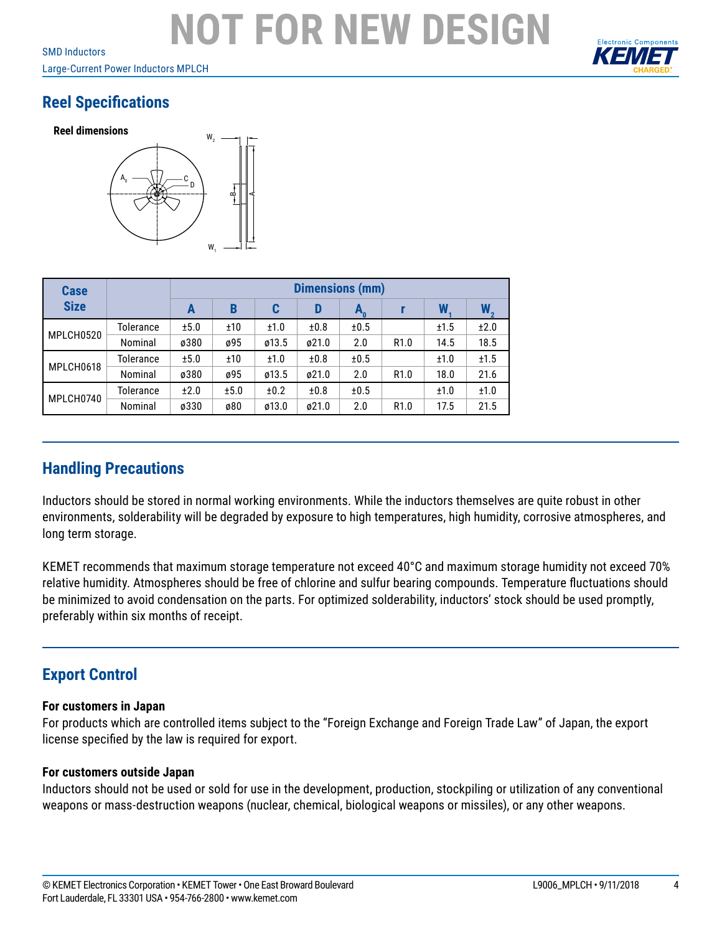

#### Large-Current Power Inductors MPLCH

SMD Inductors

## **Reel Specifications**



| <b>Case</b> |                  | <b>Dimensions (mm)</b> |      |       |       |       |                  |      |      |  |
|-------------|------------------|------------------------|------|-------|-------|-------|------------------|------|------|--|
| <b>Size</b> |                  | A                      | B    | C     | D     | $A_0$ |                  | W    |      |  |
| MPLCH0520   | <b>Tolerance</b> | ±5.0                   | ±10  | ±1.0  | ±0.8  | ±0.5  |                  | ±1.5 | ±2.0 |  |
|             | Nominal          | ø380                   | ø95  | ø13.5 | ø21.0 | 2.0   | R <sub>1.0</sub> | 14.5 | 18.5 |  |
| MPLCH0618   | Tolerance        | ±5.0                   | ±10  | ±1.0  | ±0.8  | ±0.5  |                  | ±1.0 | ±1.5 |  |
|             | Nominal          | ø380                   | ø95  | ø13.5 | ø21.0 | 2.0   | R <sub>1.0</sub> | 18.0 | 21.6 |  |
| MPLCH0740   | Tolerance        | ±2.0                   | ±5.0 | ±0.2  | ±0.8  | ±0.5  |                  | ±1.0 | ±1.0 |  |
|             | Nominal          | ø330                   | ø80  | ø13.0 | ø21.0 | 2.0   | R <sub>1.0</sub> | 17.5 | 21.5 |  |

## **Handling Precautions**

Inductors should be stored in normal working environments. While the inductors themselves are quite robust in other environments, solderability will be degraded by exposure to high temperatures, high humidity, corrosive atmospheres, and long term storage.

KEMET recommends that maximum storage temperature not exceed 40°C and maximum storage humidity not exceed 70% relative humidity. Atmospheres should be free of chlorine and sulfur bearing compounds. Temperature fluctuations should be minimized to avoid condensation on the parts. For optimized solderability, inductors' stock should be used promptly, preferably within six months of receipt.

## **Export Control**

#### **For customers in Japan**

For products which are controlled items subject to the "Foreign Exchange and Foreign Trade Law" of Japan, the export license specified by the law is required for export.

#### **For customers outside Japan**

Inductors should not be used or sold for use in the development, production, stockpiling or utilization of any conventional weapons or mass-destruction weapons (nuclear, chemical, biological weapons or missiles), or any other weapons.